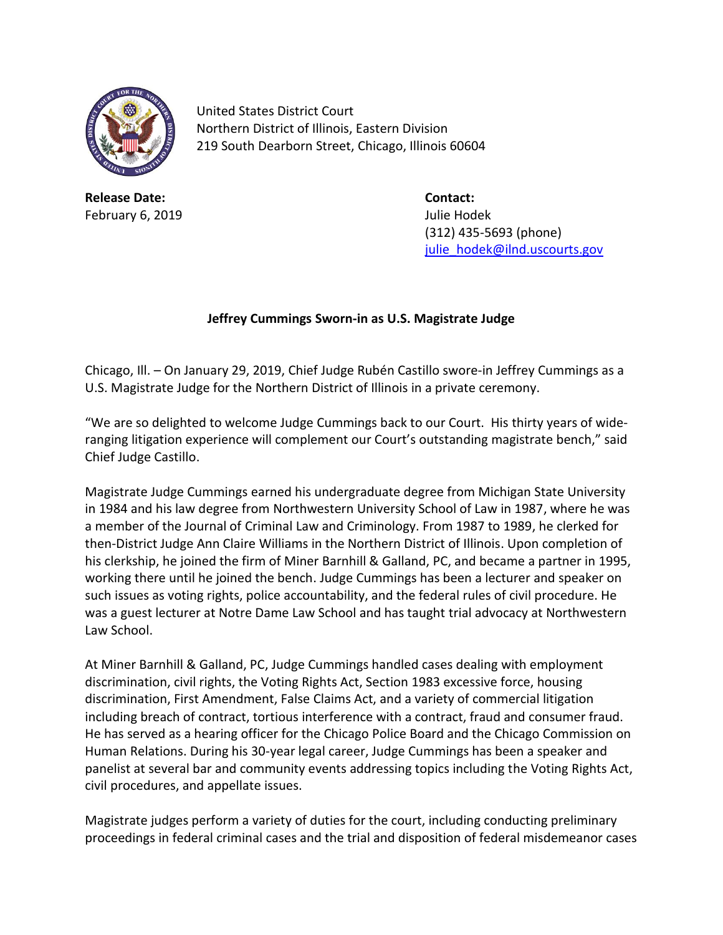

United States District Court Northern District of Illinois, Eastern Division 219 South Dearborn Street, Chicago, Illinois 60604

**Release Date: Contact:** February 6, 2019 **Julie Hodek** 

(312) 435-5693 (phone) [julie\\_hodek@ilnd.uscourts.gov](mailto:julie_hodek@ilnd.uscourts.gov)

## **Jeffrey Cummings Sworn-in as U.S. Magistrate Judge**

Chicago, Ill. – On January 29, 2019, Chief Judge Rubén Castillo swore-in Jeffrey Cummings as a U.S. Magistrate Judge for the Northern District of Illinois in a private ceremony.

"We are so delighted to welcome Judge Cummings back to our Court. His thirty years of wideranging litigation experience will complement our Court's outstanding magistrate bench," said Chief Judge Castillo.

Magistrate Judge Cummings earned his undergraduate degree from Michigan State University in 1984 and his law degree from Northwestern University School of Law in 1987, where he was a member of the Journal of Criminal Law and Criminology. From 1987 to 1989, he clerked for then-District Judge Ann Claire Williams in the Northern District of Illinois. Upon completion of his clerkship, he joined the firm of Miner Barnhill & Galland, PC, and became a partner in 1995, working there until he joined the bench. Judge Cummings has been a lecturer and speaker on such issues as voting rights, police accountability, and the federal rules of civil procedure. He was a guest lecturer at Notre Dame Law School and has taught trial advocacy at Northwestern Law School.

At Miner Barnhill & Galland, PC, Judge Cummings handled cases dealing with employment discrimination, civil rights, the Voting Rights Act, Section 1983 excessive force, housing discrimination, First Amendment, False Claims Act, and a variety of commercial litigation including breach of contract, tortious interference with a contract, fraud and consumer fraud. He has served as a hearing officer for the Chicago Police Board and the Chicago Commission on Human Relations. During his 30-year legal career, Judge Cummings has been a speaker and panelist at several bar and community events addressing topics including the Voting Rights Act, civil procedures, and appellate issues.

Magistrate judges perform a variety of duties for the court, including conducting preliminary proceedings in federal criminal cases and the trial and disposition of federal misdemeanor cases